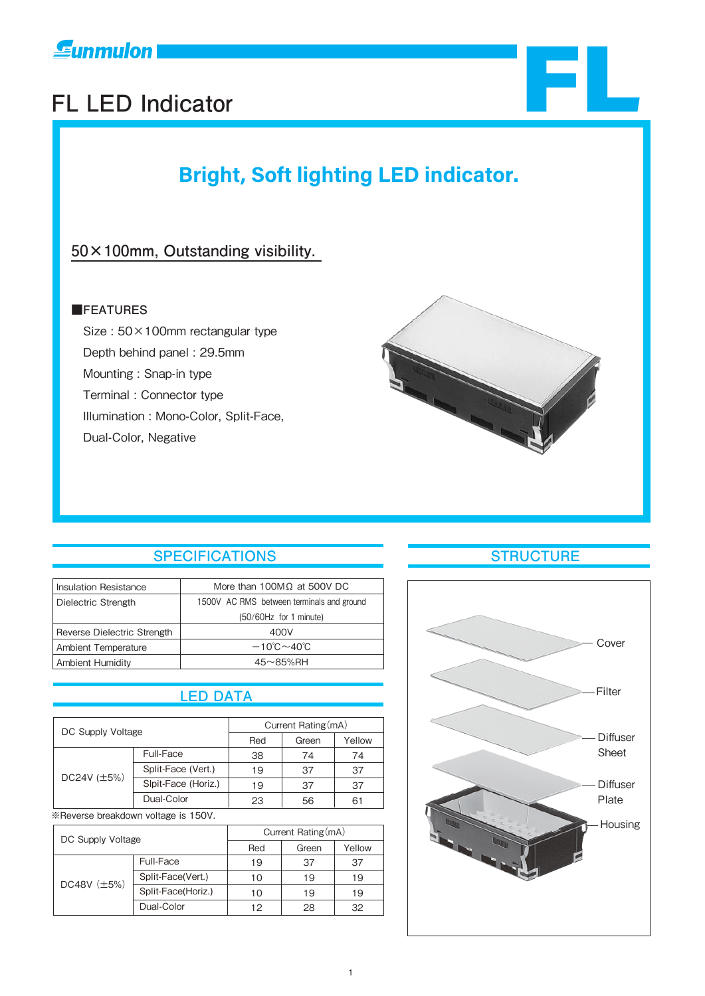

# **Funmulon**<br>FL LED Indicator<br>FL LED Indicator

# **Bright, Soft lighting LED indicator.**

# **50×100mm, Outstanding visibility.**

### ■**FEATURES**

 Size : 50×100mm rectangular type Depth behind panel : 29.5mm Mounting : Snap-in type Terminal : Connector type Illumination : Mono-Color, Split-Face, Dual-Color, Negative



# **SPECIFICATIONS STRUCTURE**

| More than 100MΩ at 500V DC                |
|-------------------------------------------|
| 1500V AC RMS between terminals and ground |
| (50/60Hz for 1 minute)                    |
| 400V                                      |
| $-10^{\circ}$ C $\sim$ 40 $^{\circ}$ C    |
| $45 \sim 85\%$ RH                         |
|                                           |

# **LED DATA**

| DC Supply Voltage |                     |     | Current Rating (mA) |        |
|-------------------|---------------------|-----|---------------------|--------|
|                   |                     | Red | Green               | Yellow |
| DC24V $(\pm 5\%)$ | Full-Face           | 38  | 74                  | 74     |
|                   | Split-Face (Vert.)  | 19  | 37                  | 37     |
|                   | Slpit-Face (Horiz.) | 19  | 37                  | 37     |
|                   | Dual-Color          | 23  | 56                  | 61     |

※Reverse breakdown voltage is 150V.

| DC Supply Voltage |                    | Current Rating (mA) |       |        |  |
|-------------------|--------------------|---------------------|-------|--------|--|
|                   |                    | Red                 | Green | Yellow |  |
|                   | Full-Face          | 19                  | 37    | 37     |  |
| DC48V $(\pm 5\%)$ | Split-Face(Vert.)  | 10                  | 19    | 19     |  |
|                   | Split-Face(Horiz.) | 10                  | 19    | 19     |  |
|                   | Dual-Color         | 12                  | 28    | 32     |  |



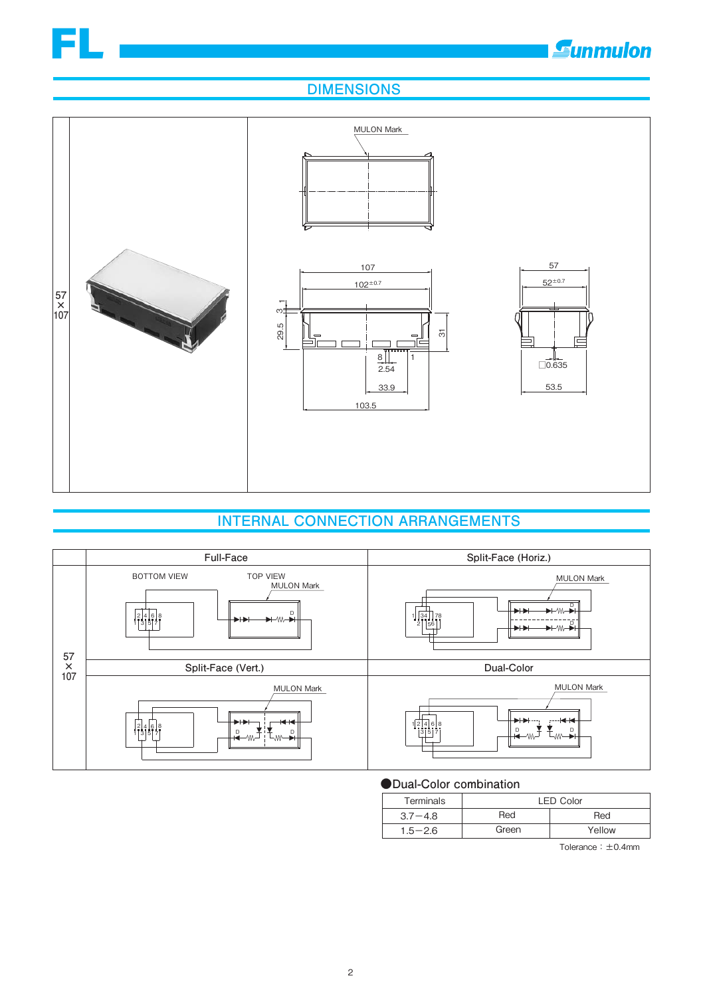

**E**unmulon

# **DIMENSIONS**



# **INTERNAL CONNECTION ARRANGEMENTS**



#### **●Dual-Color combination**

| Terminals   | <b>LED Color</b> |        |  |
|-------------|------------------|--------|--|
| $3.7 - 4.8$ | Red              | Red    |  |
| $1.5 - 2.6$ | Green            | Yellow |  |
|             |                  |        |  |

Tolerance:±0.4mm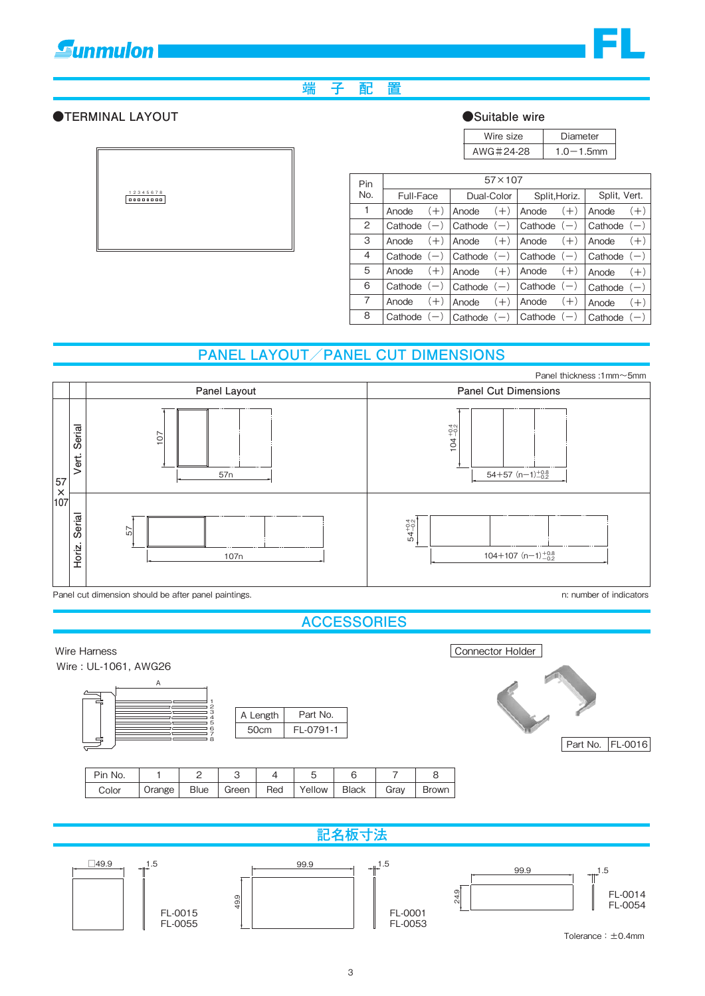# **Eunmulon**



## **端 子 配 置**

#### **●TERMINAL LAYOUT**

12345678

| Suitable wire |
|---------------|
|---------------|

| Wire size | Diameter       |
|-----------|----------------|
| AWG#24-28 | $1.0 - 1.5$ mm |

|                |                | $57\times107$         |                                 |                |
|----------------|----------------|-----------------------|---------------------------------|----------------|
| Pin<br>No.     |                |                       |                                 |                |
|                | Full-Face      | Dual-Color            | Split, Horiz.                   | Split, Vert.   |
| 1              | $(+)$<br>Anode | Anode<br>$(+)$        | $(+)$<br>Anode                  | $(+)$<br>Anode |
| $\overline{2}$ | Cathode $(-)$  | $Cathode (-)$         | Cathode $(-)$                   | Cathode $(-)$  |
| 3              | $(+)$<br>Anode | $(+)$<br>Anode        | $(+)$<br>Anode                  | $(+)$<br>Anode |
| 4              | Cathode $(-)$  | $ $ Cathode $(-)$     | $\vert$ Cathode $\vert$ $\vert$ | Cathode $(-)$  |
| 5              | $(+)$<br>Anode | $(+)$<br>Anode        | $(+)$<br>Anode                  | Anode<br>$(+)$ |
| 6              | Cathode $(-)$  | $\vert$ Cathode $(-)$ | Cathode $(-)$                   | Cathode $(-)$  |
| $\overline{7}$ | $(+)$<br>Anode | Anode<br>$(+)$        | $(+)$<br>Anode                  | Anode<br>$(+)$ |
| 8              | Cathode $(-)$  | Cathode $(-)$         | Cathode                         | Cathode        |

# **PANEL LAYOUT/PANEL CUT DIMENSIONS**



Panel cut dimension should be after panel paintings.

n: number of indicators

**ACCESSORIES**